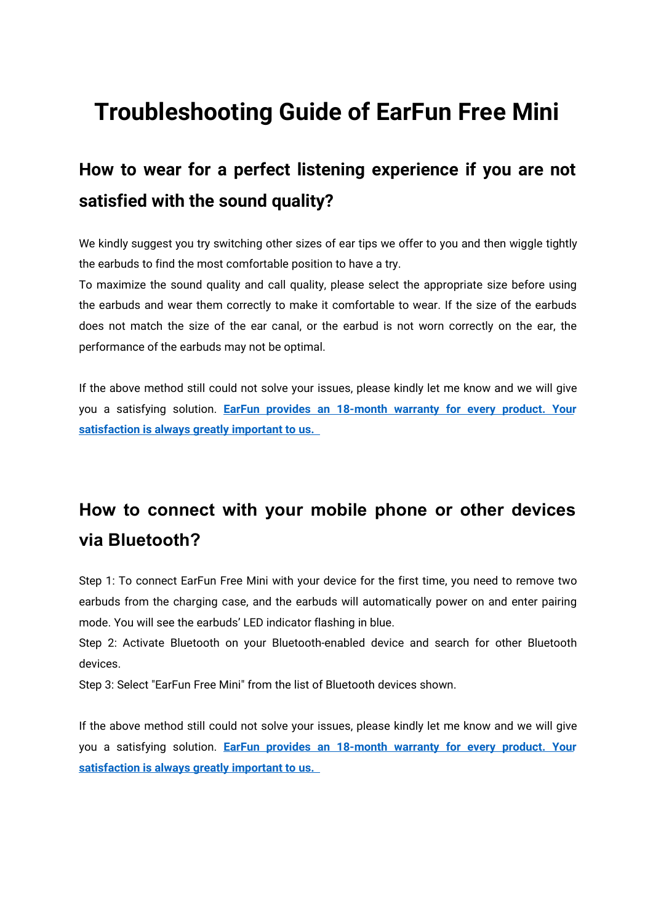## **Troubleshooting Guide of EarFun Free Mini**

## **How to wear for a perfect listening experience if you are not satisfied with the sound quality?**

We kindly suggest you try switching other sizes of ear tips we offer to you and then wiggle tightly the earbuds to find the most comfortable position to have a try.

To maximize the sound quality and call quality, please select the appropriate size before using the earbuds and wear them correctly to make it comfortable to wear. If the size of the earbuds does not match the size of the ear canal, or the earbud is not worn correctly on the ear, the performance of the earbuds may not be optimal.

If the above method still could not solve your issues, please kindly let me know and we will give you a satisfying solution. **EarFun provides an [18-month](https://www.myearfun.com/warranty) warranty for every product. Your satisfaction is always greatly important to us.**

## **How to connect with your mobile phone or other devices via Bluetooth?**

Step 1: To connect EarFun Free Mini with your device for the first time, you need to remove two earbuds from the charging case, and the earbuds will automatically power on and enter pairing mode. You will see the earbuds' LED indicator flashing in blue.

Step 2: Activate Bluetooth on your Bluetooth-enabled device and search for other Bluetooth devices.

Step 3: Select "EarFun Free Mini" from the list of Bluetooth devices shown.

If the above method still could not solve your issues, please kindly let me know and we will give you a satisfying solution. **EarFun provides an [18-month](https://www.myearfun.com/warranty) warranty for every product. Your satisfaction is always greatly important to us.**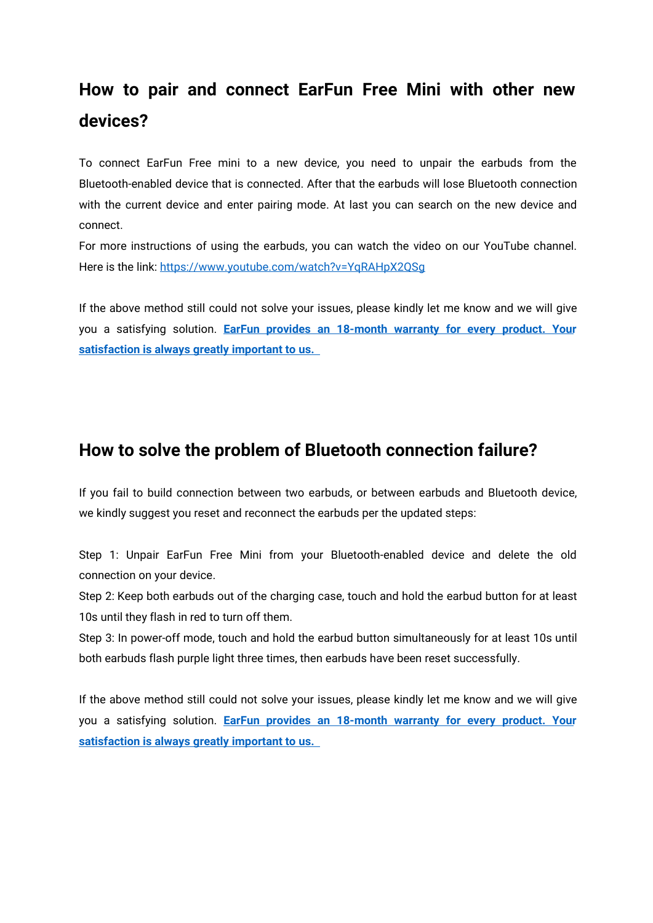## **How to pair and connect EarFun Free Mini with other new devices?**

To connect EarFun Free mini to a new device, you need to unpair the earbuds from the Bluetooth-enabled device that is connected. After that the earbuds will lose Bluetooth connection with the current device and enter pairing mode. At last you can search on the new device and connect.

For more instructions of using the earbuds, you can watch the video on our YouTube channel. Here is the link: <https://www.youtube.com/watch?v=YqRAHpX2QSg>

If the above method still could not solve your issues, please kindly let me know and we will give you a satisfying solution. **EarFun provides an [18-month](https://www.myearfun.com/warranty) warranty for every product. Your satisfaction is always greatly important to us.**

#### **How to solve the problem of Bluetoothconnection failure?**

If you fail to build connection between two earbuds, or between earbuds and Bluetooth device, we kindly suggest you reset and reconnect the earbuds per the updated steps:

Step 1: Unpair EarFun Free Mini from your Bluetooth-enabled device and delete the old connection on your device.

Step 2: Keep both earbuds out of the charging case, touch and hold the earbud button for at least 10s until they flash in red to turn off them.

Step 3: In power-off mode, touch and hold the earbud button simultaneously for at least 10s until both earbuds flash purple light three times, then earbuds have been reset successfully.

If the above method still could not solve your issues, please kindly let me know and we will give you a satisfying solution. **EarFun provides an [18-month](https://www.myearfun.com/warranty) warranty for every product. Your satisfaction is always greatly important to us.**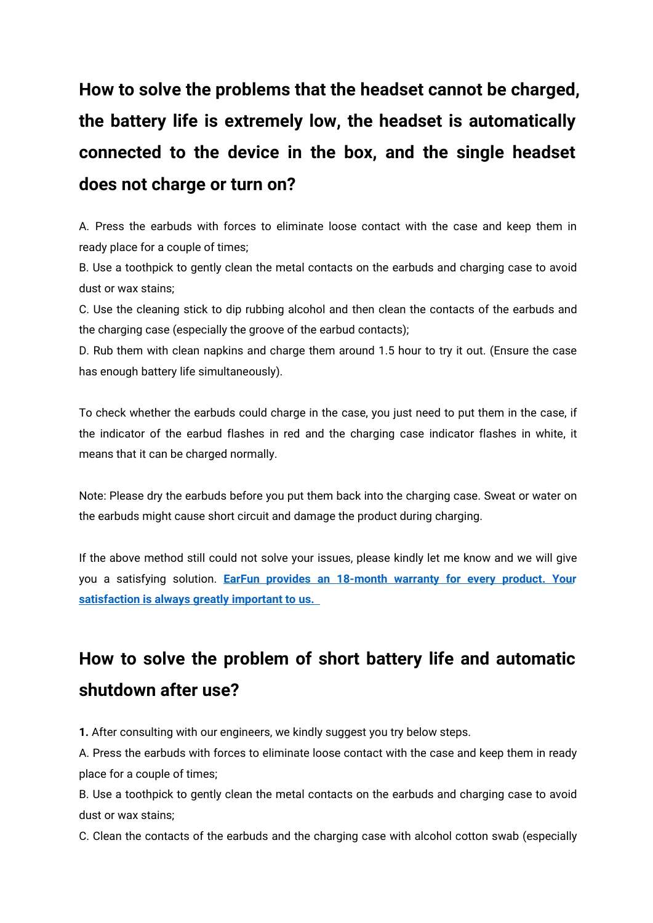# **How to solve the problems that the headset cannot be charged, the battery life is extremely low, the headset is automatically connected to the device in the box,and the single headset does not charge or turn on?**

A. Press the earbuds with forces to eliminate loose contactwith the case and keep them in ready place for a couple of times;

B. Use a toothpick to gently clean the metal contacts on the earbuds and charging case to avoid dust or wax stains;

C. Use the cleaning stick to dip rubbing alcohol and then clean the contacts of the earbuds and the charging case (especially the groove of the earbud contacts);

D. Rub them with clean napkins and charge them around 1.5 hour to try it out. (Ensure the case has enough battery life simultaneously).

To check whether the earbuds could charge in the case, you just need to put them in the case, if the indicator of the earbud flashes in red and the charging case indicator flashes in white, it means that it can be charged normally.

Note: Please dry the earbuds before you put them back into the charging case. Sweat or water on the earbuds might cause short circuit and damage the product during charging.

If the above method still could not solve your issues, please kindly let me know and we will give you a satisfying solution. **EarFun provides an [18-month](https://www.myearfun.com/warranty) warranty for every product. Your satisfaction is always greatly important to us.**

## **How to solve the problem of short battery life and automatic shutdown after use?**

**1.** After consulting with our engineers, we kindly suggest you try below steps.

A. Press the earbuds with forces to eliminate loose contact with the case and keep them in ready place for a couple of times;

B. Use a toothpick to gently clean the metal contacts on the earbuds and charging case to avoid dust or wax stains;

C. Clean the contacts of the earbuds and the charging case with alcohol cotton swab (especially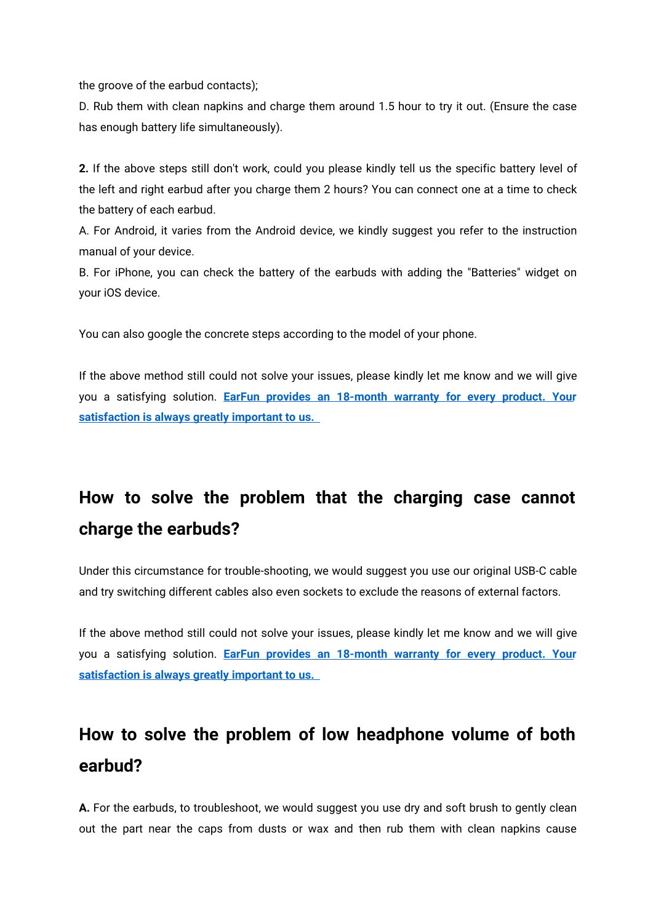the groove of the earbud contacts);

D. Rub them with clean napkins and charge them around 1.5 hour to try it out. (Ensure the case has enough battery life simultaneously).

**2.** If the above steps still don't work, could you please kindly tell us the specific battery level of the left and right earbud after you charge them 2 hours? Youcan connect one at a time to check the battery of each earbud.

A. For Android, it varies from the Android device, we kindly suggest you refer to the instruction manual of your device.

B. For iPhone, you can check the battery of the earbuds with adding the "Batteries" widget on your iOS device.

You can also google the concrete steps according to the model of your phone.

If the above method still could not solve your issues, please kindly let me know and we will give you a satisfying solution. **EarFun provides an [18-month](https://www.myearfun.com/warranty) warranty for every product. Your satisfaction is always greatly important to us.**

## **How to solve the problem that the charging case cannot charge the earbuds?**

Under this circumstance for trouble-shooting, we would suggest you use our original USB-C cable and try switching different cables also even sockets to exclude the reasons of external factors.

If the above method still could not solve your issues, please kindly let me know and we will give you a satisfying solution. **EarFun provides an [18-month](https://www.myearfun.com/warranty) warranty for every product. Your satisfaction is always greatly important to us.**

## **How to solve the problem of low headphone volume of both earbud?**

**A.** For the earbuds, to troubleshoot, we would suggest you use dry and soft brush to gently clean out the part near the caps from dusts or wax and then rub them with clean napkins cause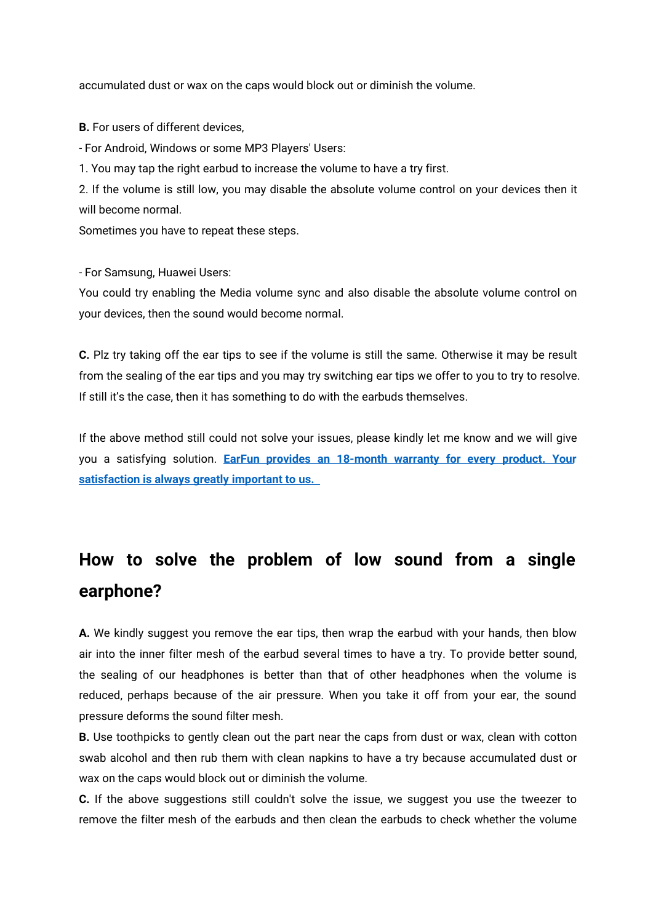accumulated dust or wax on the caps would block out or diminish the volume.

**B.** For users of different devices,

- For Android, Windows or some MP3 Players' Users:

1. You may tap the right earbud to increase the volume to have a try first.

2. If the volume is still low, you may disable the absolute volume control on your devices then it will become normal.

Sometimes you have to repeat these steps.

- For Samsung, Huawei Users:

You could try enabling the Media volume sync and also disable the absolute volume control on your devices, then the sound would become normal.

**C.** Plz try taking off the ear tips to see if the volume is still the same. Otherwise it may be result from the sealing of the ear tips and you may try switching ear tips we offer to you to try to resolve. If still it's the case, then it has something to do with the earbuds themselves.

If the above method still could not solve your issues, please kindly let me know and we will give you a satisfying solution. **EarFun provides an [18-month](https://www.myearfun.com/warranty) warranty for every product. Your satisfaction is always greatly important to us.**

## **How to solve the problem of low sound from a single earphone?**

**A.** We kindly suggest you remove the ear tips, then wrap the earbud with your hands, then blow air into the inner filter mesh of the earbud several times to have a try. To provide better sound, the sealing of our headphones is better than that of other headphones when the volume is reduced, perhaps because of the air pressure. When you take it off from your ear, the sound pressure deforms the sound filter mesh.

**B.** Use toothpicks to gently clean out the part near the caps from dust or wax, clean with cotton swab alcohol and then rub them with clean napkins to have a try because accumulated dust or wax on the caps would block out or diminish the volume.

**C.** If the above suggestions still couldn't solve the issue, we suggest you use the tweezer to remove the filter mesh of the earbuds and then clean the earbuds to check whether the volume